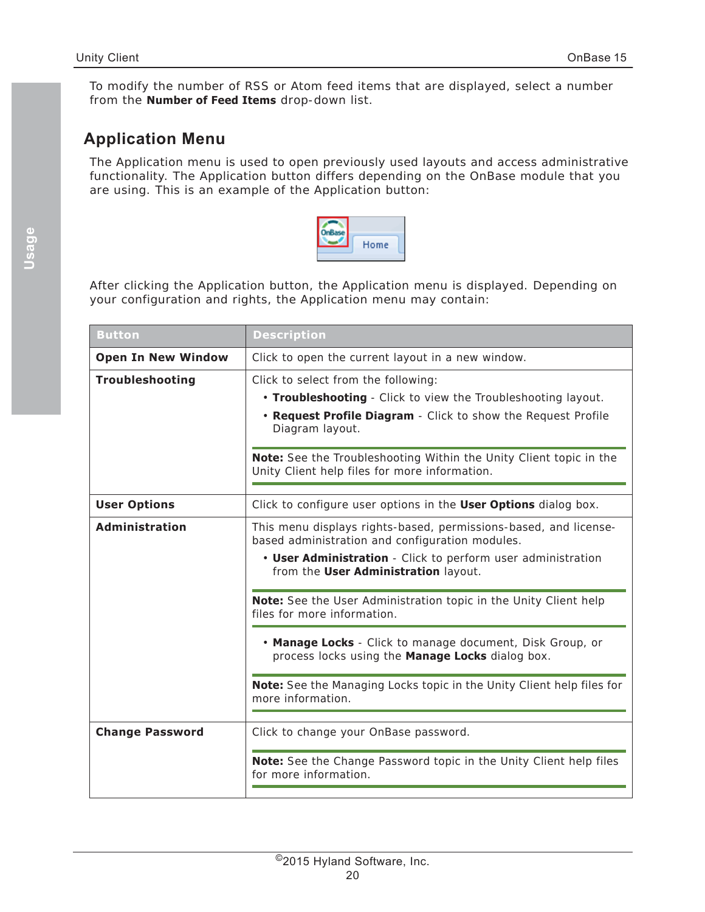To modify the number of RSS or Atom feed items that are displayed, select a number from the **Number of Feed Items** drop-down list.

## **Application Menu**

The Application menu is used to open previously used layouts and access administrative functionality. The Application button differs depending on the OnBase module that you are using. This is an example of the Application button:



After clicking the Application button, the Application menu is displayed. Depending on your configuration and rights, the Application menu may contain:

| <b>Button</b>             | <b>Description</b>                                                                                                                                                                                                                                             |
|---------------------------|----------------------------------------------------------------------------------------------------------------------------------------------------------------------------------------------------------------------------------------------------------------|
| <b>Open In New Window</b> | Click to open the current layout in a new window.                                                                                                                                                                                                              |
| Troubleshooting           | Click to select from the following:<br>. Troubleshooting - Click to view the Troubleshooting layout.<br>. Request Profile Diagram - Click to show the Request Profile<br>Diagram layout.<br>Note: See the Troubleshooting Within the Unity Client topic in the |
|                           | Unity Client help files for more information.                                                                                                                                                                                                                  |
| <b>User Options</b>       | Click to configure user options in the User Options dialog box.                                                                                                                                                                                                |
| <b>Administration</b>     | This menu displays rights-based, permissions-based, and license-<br>based administration and configuration modules.<br>• User Administration - Click to perform user administration<br>from the User Administration layout.                                    |
|                           | Note: See the User Administration topic in the Unity Client help<br>files for more information.                                                                                                                                                                |
|                           | . Manage Locks - Click to manage document, Disk Group, or<br>process locks using the Manage Locks dialog box.                                                                                                                                                  |
|                           | Note: See the Managing Locks topic in the Unity Client help files for<br>more information.                                                                                                                                                                     |
| <b>Change Password</b>    | Click to change your OnBase password.                                                                                                                                                                                                                          |
|                           | Note: See the Change Password topic in the Unity Client help files<br>for more information.                                                                                                                                                                    |